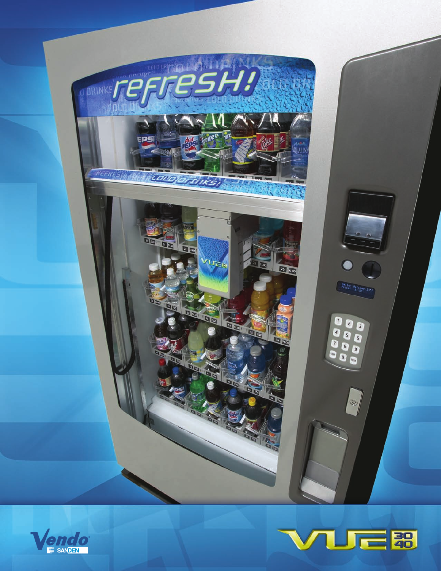



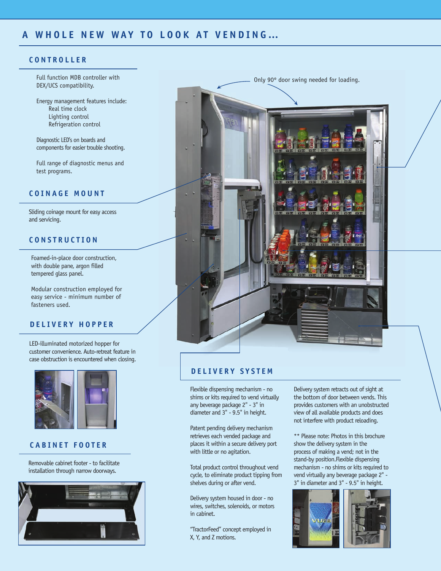## **C ONTROLLER**

Full function MDB controller with DEX/UCS compatibility.

Energy management features include: Real time clock Lighting control Refrigeration control

Diagnostic LED's on boards and components for easier trouble shooting.

Full range of diagnostic menus and test programs.

# **COIN AGE MOUNT**

Sliding coinage mount for easy access and servicing.

#### **CONSTRUCTION**

Foamed-in-place door construction, with double pane, argon filled tempered glass panel.

Modular construction employed for easy service - minimum number of fasteners used.

### **DELIVERY HOPPER**

LED-illuminated motorized hopper for customer convenience. Auto-retreat feature in case obstruction is encountered when closing.



# **CABINET FOOTER**

Removable cabinet footer - to facilitate installation through narrow doorways.





#### **DELIVER Y SYSTEM**

Flexible dispensing mechanism - no shims or kits required to vend virtually any beverage package 2" - 3" in diameter and 3" - 9.5" in height.

Patent pending delivery mechanism retrieves each vended package and places it within a secure delivery port with little or no agitation.

Total product control throughout vend cycle, to eliminate product tipping from shelves during or after vend.

Delivery system housed in door - no wires, switches, solenoids, or motors in cabinet.

"TractorFeed" concept employed in X, Y, and Z motions.

Delivery system retracts out of sight at the bottom of door between vends. This provides customers with an unobstructed view of all available products and does not interfere with product reloading.

\*\* Please note: Photos in this brochure show the delivery system in the process of making a vend; not in the stand-by position.Flexible dispensing mechanism - no shims or kits required to vend virtually any beverage package 2" - 3" in diameter and 3" - 9.5" in height.

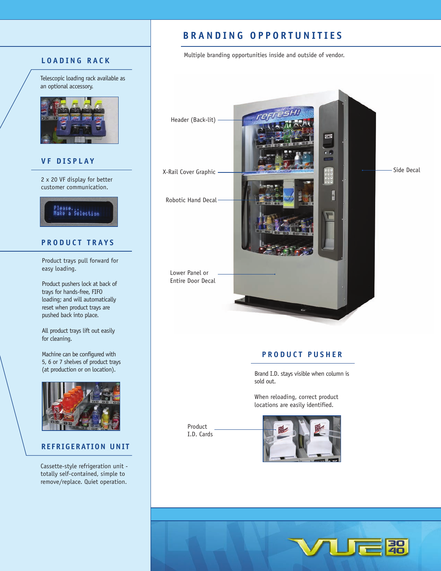# **L OADING R ACK**

Telescopic loading rack available as an optional accessory.



### **VF DISPL A Y**

2 x 20 VF display for better customer communication.



# **PRODUCT TRA Y S**

Product trays pull forward for easy loading.

Product pushers lock at back of trays for hands-free, FIFO loading; and will automatically reset when product trays are pushed back into place.

All product trays lift out easily for cleaning.

Machine can be configured with 5, 6 or 7 shelves of product trays (at production or on location).



#### **C REFRIGERATION UNIT**

Cassette-style refrigeration unit totally self-contained, simple to remove/replace. Quiet operation.

# **A BRANDING OPPORT UNITIES**

Multiple branding opportunities inside and outside of vendor.



# **PRO DUCT P USHER**

Brand I.D. stays visible when column is sold out.

When reloading, correct product locations are easily identified.

Product I.D. Cards